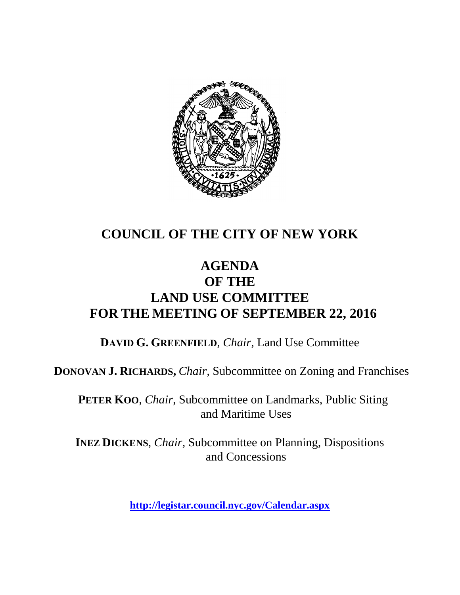

## **COUNCIL OF THE CITY OF NEW YORK**

### **AGENDA OF THE LAND USE COMMITTEE FOR THE MEETING OF SEPTEMBER 22, 2016**

**DAVID G. GREENFIELD**, *Chair*, Land Use Committee

**DONOVAN J. RICHARDS,** *Chair,* Subcommittee on Zoning and Franchises

**PETER KOO**, *Chair*, Subcommittee on Landmarks, Public Siting and Maritime Uses

**INEZ DICKENS**, *Chair,* Subcommittee on Planning, Dispositions and Concessions

**<http://legistar.council.nyc.gov/Calendar.aspx>**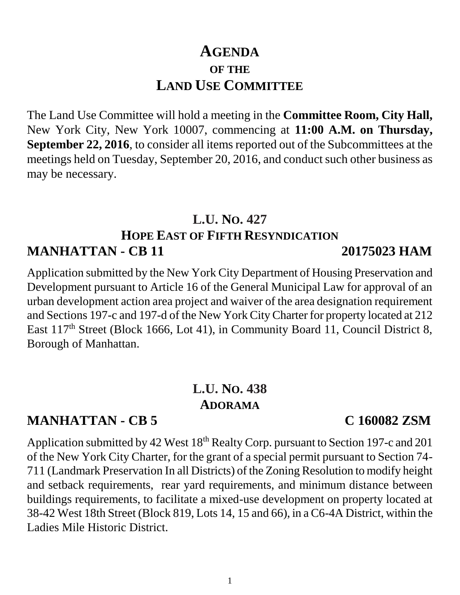1

### **MANHATTAN - CB 5 C 160082 ZSM**

Application submitted by 42 West 18<sup>th</sup> Realty Corp. pursuant to Section 197-c and 201 of the New York City Charter, for the grant of a special permit pursuant to Section 74- 711 (Landmark Preservation In all Districts) of the Zoning Resolution to modify height and setback requirements, rear yard requirements, and minimum distance between buildings requirements, to facilitate a mixed-use development on property located at 38-42 West 18th Street (Block 819, Lots 14, 15 and 66), in a C6-4A District, within the Ladies Mile Historic District.

The Land Use Committee will hold a meeting in the **Committee Room, City Hall,**  New York City, New York 10007, commencing at **11:00 A.M. on Thursday, September 22, 2016**, to consider all items reported out of the Subcommittees at the meetings held on Tuesday, September 20, 2016, and conduct such other business as may be necessary.

### **L.U. NO. 427 HOPE EAST OF FIFTH RESYNDICATION MANHATTAN - CB 11 20175023 HAM**

Application submitted by the New York City Department of Housing Preservation and Development pursuant to Article 16 of the General Municipal Law for approval of an urban development action area project and waiver of the area designation requirement and Sections 197-c and 197-d of the New York City Charter for property located at 212 East 117<sup>th</sup> Street (Block 1666, Lot 41), in Community Board 11, Council District 8, Borough of Manhattan.

**L.U. NO. 438**

**ADORAMA**

# **AGENDA OF THE LAND USE COMMITTEE**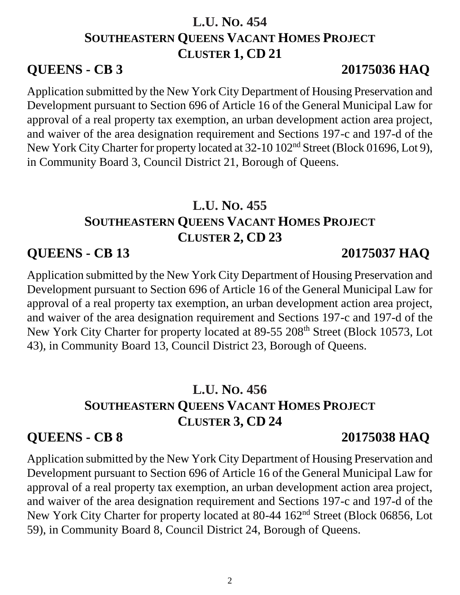### **L.U. NO. 454 SOUTHEASTERN QUEENS VACANT HOMES PROJECT CLUSTER 1, CD 21**

### **QUEENS - CB 3 20175036 HAQ**

Application submitted by the New York City Department of Housing Preservation and Development pursuant to Section 696 of Article 16 of the General Municipal Law for approval of a real property tax exemption, an urban development action area project, and waiver of the area designation requirement and Sections 197-c and 197-d of the New York City Charter for property located at 32-10 102<sup>nd</sup> Street (Block 01696, Lot 9), in Community Board 3, Council District 21, Borough of Queens.

## **L.U. NO. 455 SOUTHEASTERN QUEENS VACANT HOMES PROJECT CLUSTER 2, CD 23**

## **QUEENS - CB 13 20175037 HAQ**

Application submitted by the New York City Department of Housing Preservation and Development pursuant to Section 696 of Article 16 of the General Municipal Law for approval of a real property tax exemption, an urban development action area project, and waiver of the area designation requirement and Sections 197-c and 197-d of the New York City Charter for property located at 89-55 208<sup>th</sup> Street (Block 10573, Lot 43), in Community Board 13, Council District 23, Borough of Queens.

## **L.U. NO. 456 SOUTHEASTERN QUEENS VACANT HOMES PROJECT CLUSTER 3, CD 24**

# **QUEENS - CB 8 20175038 HAQ**

Application submitted by the New York City Department of Housing Preservation and Development pursuant to Section 696 of Article 16 of the General Municipal Law for approval of a real property tax exemption, an urban development action area project, and waiver of the area designation requirement and Sections 197-c and 197-d of the New York City Charter for property located at 80-44 162<sup>nd</sup> Street (Block 06856, Lot 59), in Community Board 8, Council District 24, Borough of Queens.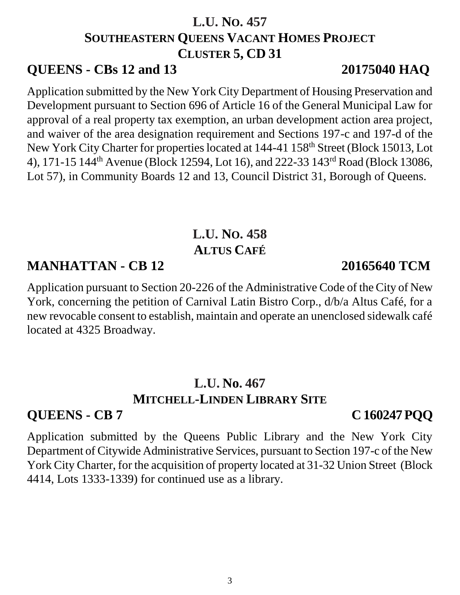## **L.U. NO. 457 SOUTHEASTERN QUEENS VACANT HOMES PROJECT CLUSTER 5, CD 31**

### **QUEENS - CBs 12 and 13 20175040 HAQ**

Application submitted by the New York City Department of Housing Preservation and Development pursuant to Section 696 of Article 16 of the General Municipal Law for approval of a real property tax exemption, an urban development action area project, and waiver of the area designation requirement and Sections 197-c and 197-d of the New York City Charter for properties located at 144-41 158th Street (Block 15013, Lot 4), 171-15 144th Avenue (Block 12594, Lot 16), and 222-33 143rd Road (Block 13086, Lot 57), in Community Boards 12 and 13, Council District 31, Borough of Queens.

## **L.U. NO. 458 ALTUS CAFÉ**

### **MANHATTAN - CB 12 20165640 TCM**

Application pursuant to Section 20-226 of the Administrative Code of the City of New York, concerning the petition of Carnival Latin Bistro Corp., d/b/a Altus Café, for a new revocable consent to establish, maintain and operate an unenclosed sidewalk café located at 4325 Broadway.

# **L.U. No. 467 MITCHELL-LINDEN LIBRARY SITE**

# **QUEENS - CB 7 C 160247 PQQ**

Application submitted by the Queens Public Library and the New York City Department of Citywide Administrative Services, pursuant to Section 197-c of the New York City Charter, for the acquisition of property located at 31-32 Union Street (Block 4414, Lots 1333-1339) for continued use as a library.